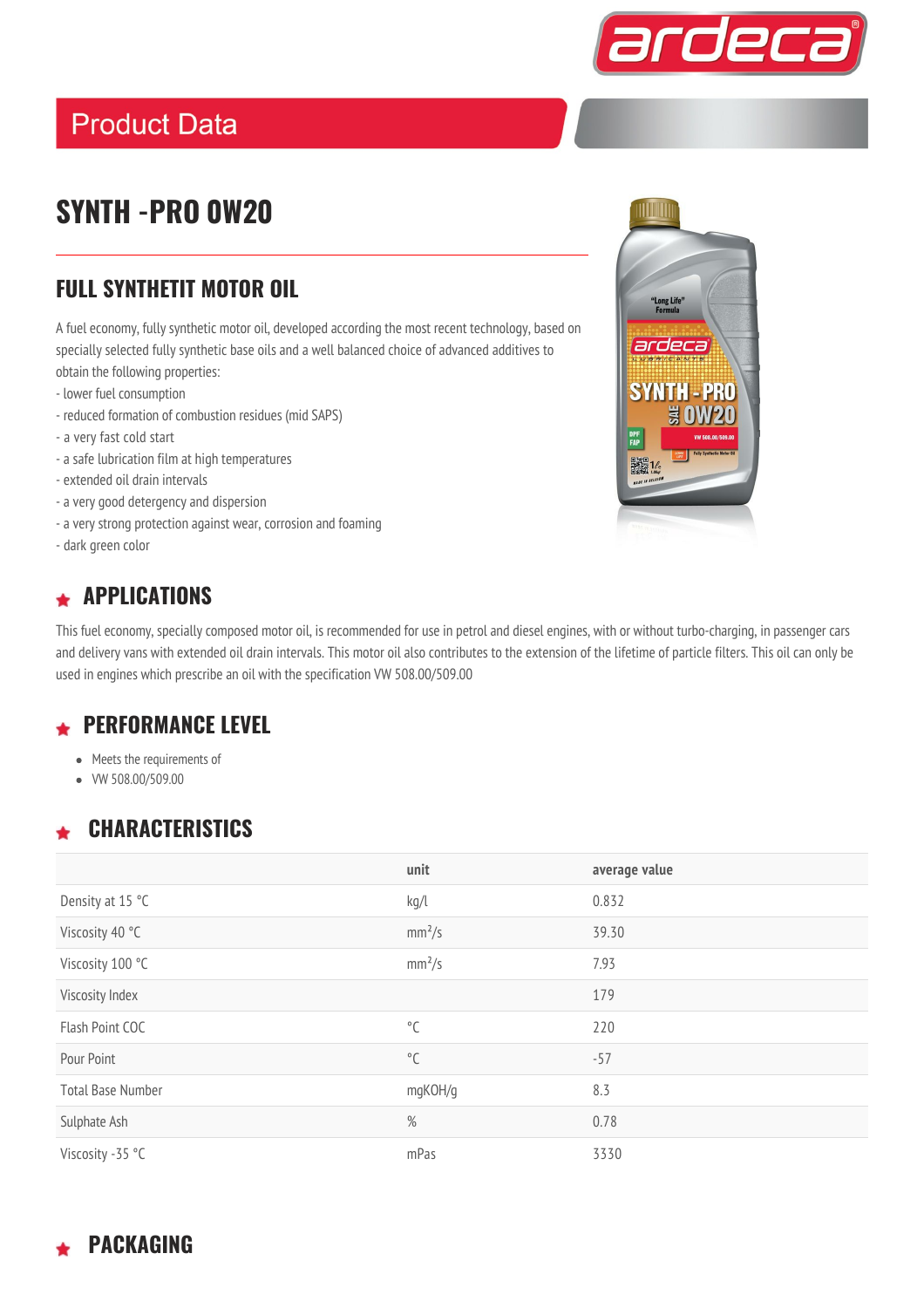

### **Product Data**

## **SYNTH -PRO 0W20**

#### **FULL SYNTHETIT MOTOR OIL**

A fuel economy, fully synthetic motor oil, developed according the most recent technology, based on specially selected fully synthetic base oils and a well balanced choice of advanced additives to obtain the following properties:

- lower fuel consumption
- reduced formation of combustion residues (mid SAPS)
- a very fast cold start
- a safe lubrication film at high temperatures
- extended oil drain intervals
- a very good detergency and dispersion
- a very strong protection against wear, corrosion and foaming
- dark green color

# IIII "Long Life"<br>Formula ardeca **SYNTH-PRO** DPF<br>FAP ■ 14

### **APPLICATIONS**

This fuel economy, specially composed motor oil, is recommended for use in petrol and diesel engines, with or without turbo-charging, in passenger cars and delivery vans with extended oil drain intervals. This motor oil also contributes to the extension of the lifetime of particle filters. This oil can only be used in engines which prescribe an oil with the specification VW 508.00/509.00

### **PERFORMANCE LEVEL**

- Meets the requirements of
- VW 508.00/509.00

### **CHARACTERISTICS**

|                          | unit               | average value |
|--------------------------|--------------------|---------------|
| Density at 15 °C         | kg/l               | 0.832         |
| Viscosity 40 °C          | mm <sup>2</sup> /s | 39.30         |
| Viscosity 100 °C         | mm <sup>2</sup> /s | 7.93          |
| Viscosity Index          |                    | 179           |
| Flash Point COC          | $^{\circ}$ C       | 220           |
| Pour Point               | $^{\circ}$ C       | $-57$         |
| <b>Total Base Number</b> | mgKOH/g            | 8.3           |
| Sulphate Ash             | %                  | 0.78          |
| Viscosity -35 °C         | mPas               | 3330          |